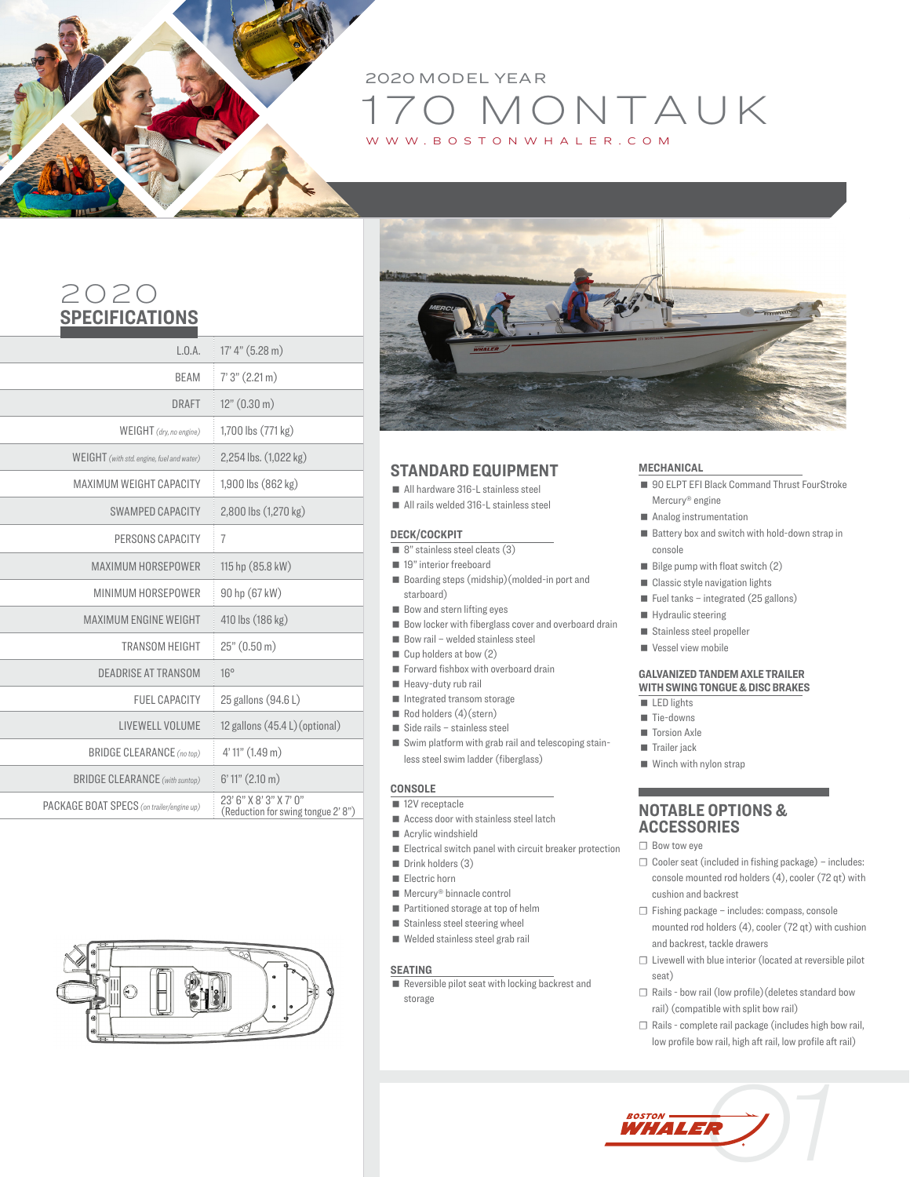# D MONTAUK<br>BOSTONWHALER.COM 2020 MODEL YEAR TONWHALER.COM

## 2020 **SPECIFICATIONS**

l

| L.0.A.                                    | 17' 4'' (5.28 m)                                            |
|-------------------------------------------|-------------------------------------------------------------|
| <b>BEAM</b>                               | 7'3'' (2.21 m)                                              |
| DRAFT                                     | 12" (0.30 m)                                                |
| WEIGHT (dry, no engine)                   | 1,700 lbs (771 kg)                                          |
| WEIGHT (with std. engine, fuel and water) | 2,254 lbs. (1,022 kg)                                       |
| MAXIMUM WEIGHT CAPACITY                   | 1,900 lbs (862 kg)                                          |
| <b>SWAMPED CAPACITY</b>                   | 2,800 lbs (1,270 kg)                                        |
| PERSONS CAPACITY                          | $\overline{7}$                                              |
| MAXIMUM HORSEPOWER                        | 115 hp (85.8 kW)                                            |
| MINIMUM HORSEPOWER                        | 90 hp (67 kW)                                               |
| <b>MAXIMUM ENGINE WEIGHT</b>              | 410 lbs (186 kg)                                            |
| <b>TRANSOM HEIGHT</b>                     | 25" (0.50 m)                                                |
| DEADRISE AT TRANSOM                       | $16^\circ$                                                  |
| <b>FUEL CAPACITY</b>                      | 25 gallons (94.6 L)                                         |
| LIVEWELL VOLUME                           | 12 gallons $(45.4 L)$ (optional)                            |
| <b>BRIDGE CLEARANCE</b> (no top)          | 4' 11" (1.49 m)                                             |
| <b>BRIDGE CLEARANCE</b> (with suntop)     | $6'$ 11" $(2.10 \text{ m})$                                 |
| PACKAGE BOAT SPECS (on trailer/engine up) | 23' 6" X 8' 3" X 7' 0"<br>(Reduction for swing tongue 2'8") |
|                                           |                                                             |





### **STANDARD EQUIPMENT**

- All hardware 316-L stainless steel
- All rails welded 316-L stainless steel

### **DECK/COCKPIT**

- 8" stainless steel cleats (3)
- 19" interior freeboard
- Boarding steps (midship) (molded-in port and starboard)
- Bow and stern lifting eyes
- $\blacksquare$  Bow locker with fiberglass cover and overboard drain
- $\blacksquare$  Bow rail welded stainless steel
- Cup holders at bow (2)
- Forward fishbox with overboard drain
- Heavy-duty rub rail
- Integrated transom storage
- Rod holders (4) (stern)
- Side rails stainless steel
- Swim platform with grab rail and telescoping stainless steel swim ladder (fiberglass)

### **CONSOLE**

- 12V receptacle
- Access door with stainless steel latch
- **Acrylic windshield**
- Electrical switch panel with circuit breaker protection
- Drink holders (3)
- Electric horn
- Mercury<sup>®</sup> binnacle control
- Partitioned storage at top of helm
- $\blacksquare$  Stainless steel steering wheel
- Welded stainless steel grab rail

### **SEATING**

Reversible pilot seat with locking backrest and storage

#### **MECHANICAL**

- 90 ELPT EFI Black Command Thrust FourStroke Mercury® engine
- Analog instrumentation
- Battery box and switch with hold-down strap in console
- $\blacksquare$  Bilge pump with float switch (2)
- Classic style navigation lights
- $\blacksquare$  Fuel tanks integrated (25 gallons)
- Hydraulic steering
- Stainless steel propeller
- Vessel view mobile

#### **GALVANIZED TANDEM AXLE TRAILER WITH SWING TONGUE & DISC BRAKES**

- $LED$  lights
- Tie-downs
- Torsion Axle
- Trailer jack
- Winch with nylon strap

### **NOTABLE OPTIONS & ACCESSORIES**

- ☐ Bow tow eye
- $\Box$  Cooler seat (included in fishing package) includes: console mounted rod holders (4), cooler (72 qt) with cushion and backrest
- ☐ Fishing package includes: compass, console mounted rod holders (4), cooler (72 qt) with cushion and backrest, tackle drawers
- ☐ Livewell with blue interior (located at reversible pilot seat)
- ☐ Rails bow rail (low profile)(deletes standard bow rail) (compatible with split bow rail)
- ☐ Rails complete rail package (includes high bow rail, low profile bow rail, high aft rail, low profile aft rail)